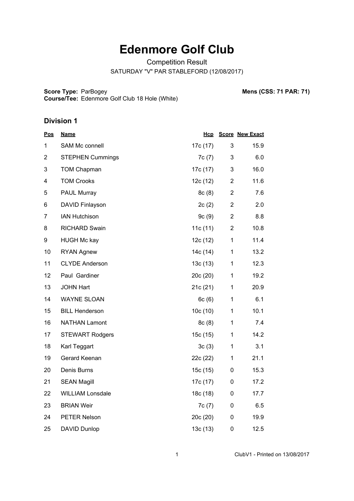# **Edenmore Golf Club**

Competition Result

SATURDAY "V" PAR STABLEFORD (12/08/2017)

**Score Type: Course/Tee:** Edenmore Golf Club 18 Hole (White)

ParBogey **Mens (CSS: 71 PAR: 71)**

| <u>Pos</u>     | <b>Name</b>             | <b>Hcp</b> |                | <b>Score New Exact</b> |
|----------------|-------------------------|------------|----------------|------------------------|
| 1              | SAM Mc connell          | 17c (17)   | 3              | 15.9                   |
| $\overline{2}$ | <b>STEPHEN Cummings</b> | 7c (7)     | 3              | 6.0                    |
| 3              | <b>TOM Chapman</b>      | 17c (17)   | 3              | 16.0                   |
| 4              | <b>TOM Crooks</b>       | 12c (12)   | $\overline{2}$ | 11.6                   |
| 5              | PAUL Murray             | 8c (8)     | $\overline{2}$ | 7.6                    |
| 6              | DAVID Finlayson         | 2c(2)      | $\overline{2}$ | 2.0                    |
| $\overline{7}$ | <b>IAN Hutchison</b>    | 9c(9)      | $\overline{2}$ | 8.8                    |
| 8              | <b>RICHARD Swain</b>    | 11c (11)   | $\overline{2}$ | 10.8                   |
| 9              | <b>HUGH Mc kay</b>      | 12c (12)   | $\mathbf 1$    | 11.4                   |
| 10             | <b>RYAN Agnew</b>       | 14c (14)   | $\mathbf{1}$   | 13.2                   |
| 11             | <b>CLYDE Anderson</b>   | 13c (13)   | 1              | 12.3                   |
| 12             | Paul Gardiner           | 20c(20)    | $\mathbf{1}$   | 19.2                   |
| 13             | <b>JOHN Hart</b>        | 21c (21)   | $\mathbf{1}$   | 20.9                   |
| 14             | <b>WAYNE SLOAN</b>      | 6c(6)      | $\mathbf{1}$   | 6.1                    |
| 15             | <b>BILL Henderson</b>   | 10c (10)   | 1              | 10.1                   |
| 16             | <b>NATHAN Lamont</b>    | 8c (8)     | $\mathbf{1}$   | 7.4                    |
| 17             | <b>STEWART Rodgers</b>  | 15c (15)   | $\mathbf 1$    | 14.2                   |
| 18             | Karl Teggart            | 3c(3)      | 1              | 3.1                    |
| 19             | Gerard Keenan           | 22c (22)   | 1              | 21.1                   |
| 20             | Denis Burns             | 15c (15)   | 0              | 15.3                   |
| 21             | <b>SEAN Magill</b>      | 17c (17)   | 0              | 17.2                   |
| 22             | <b>WILLIAM Lonsdale</b> | 18c (18)   | 0              | 17.7                   |
| 23             | <b>BRIAN Weir</b>       | 7c(7)      | 0              | 6.5                    |
| 24             | PETER Nelson            | 20c (20)   | 0              | 19.9                   |
| 25             | <b>DAVID Dunlop</b>     | 13c(13)    | 0              | 12.5                   |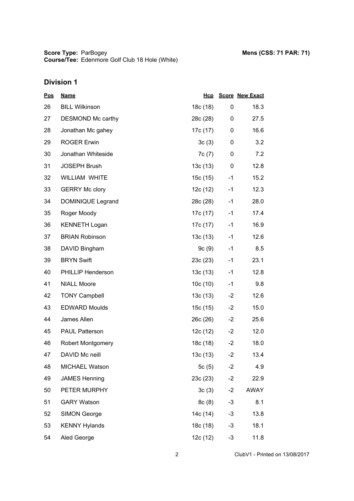| <u>Pos</u> | <b>Name</b>              | Hcp      |      | <b>Score New Exact</b> |
|------------|--------------------------|----------|------|------------------------|
| 26         | <b>BILL Wilkinson</b>    | 18c (18) | 0    | 18.3                   |
| 27         | DESMOND Mc carthy        | 28c (28) | 0    | 27.5                   |
| 28         | Jonathan Mc gahey        | 17c (17) | 0    | 16.6                   |
| 29         | <b>ROGER Erwin</b>       | 3c(3)    | 0    | 3.2                    |
| 30         | Jonathan Whiteside       | 7c (7)   | 0    | 7.2                    |
| 31         | <b>JOSEPH Brush</b>      | 13c(13)  | 0    | 12.8                   |
| 32         | WILLIAM WHITE            | 15c (15) | $-1$ | 15.2                   |
| 33         | <b>GERRY Mc clory</b>    | 12c (12) | $-1$ | 12.3                   |
| 34         | DOMINIQUE Legrand        | 28c (28) | $-1$ | 28.0                   |
| 35         | Roger Moody              | 17c (17) | $-1$ | 17.4                   |
| 36         | <b>KENNETH Logan</b>     | 17c (17) | $-1$ | 16.9                   |
| 37         | <b>BRIAN Robinson</b>    | 13c (13) | $-1$ | 12.6                   |
| 38         | DAVID Bingham            | 9c(9)    | $-1$ | 8.5                    |
| 39         | <b>BRYN Swift</b>        | 23c (23) | $-1$ | 23.1                   |
| 40         | PHILLIP Henderson        | 13c (13) | $-1$ | 12.8                   |
| 41         | <b>NIALL Moore</b>       | 10c (10) | $-1$ | 9.8                    |
| 42         | <b>TONY Campbell</b>     | 13c (13) | $-2$ | 12.6                   |
| 43         | <b>EDWARD Moulds</b>     | 15c (15) | $-2$ | 15.0                   |
| 44         | James Allen              | 26c (26) | $-2$ | 25.6                   |
| 45         | <b>PAUL Patterson</b>    | 12c (12) | $-2$ | 12.0                   |
| 46         | <b>Robert Montgomery</b> | 18c (18) | $-2$ | 18.0                   |
| 47         | DAVID Mc neill           | 13c (13) | $-2$ | 13.4                   |
| 48         | MICHAEL Watson           | 5 $c(5)$ | $-2$ | 4.9                    |
| 49         | <b>JAMES Henning</b>     | 23c(23)  | $-2$ | 22.9                   |
| 50         | PETER MURPHY             | 3c(3)    | $-2$ | <b>AWAY</b>            |
| 51         | <b>GARY Watson</b>       | 8c(8)    | $-3$ | 8.1                    |
| 52         | <b>SIMON George</b>      | 14c (14) | $-3$ | 13.8                   |
| 53         | <b>KENNY Hylands</b>     | 18c (18) | $-3$ | 18.1                   |
| 54         | Aled George              | 12c(12)  | -3   | 11.8                   |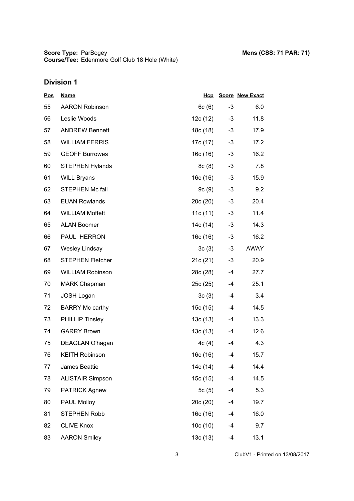| <u>Pos</u> | <b>Name</b>             | Hcp      |      | <b>Score New Exact</b> |
|------------|-------------------------|----------|------|------------------------|
| 55         | <b>AARON Robinson</b>   | 6c(6)    | $-3$ | 6.0                    |
| 56         | Leslie Woods            | 12c (12) | $-3$ | 11.8                   |
| 57         | <b>ANDREW Bennett</b>   | 18c (18) | $-3$ | 17.9                   |
| 58         | <b>WILLIAM FERRIS</b>   | 17c (17) | -3   | 17.2                   |
| 59         | <b>GEOFF Burrowes</b>   | 16c (16) | $-3$ | 16.2                   |
| 60         | <b>STEPHEN Hylands</b>  | 8c(8)    | $-3$ | 7.8                    |
| 61         | <b>WILL Bryans</b>      | 16c (16) | $-3$ | 15.9                   |
| 62         | STEPHEN Mc fall         | 9c(9)    | $-3$ | 9.2                    |
| 63         | <b>EUAN Rowlands</b>    | 20c(20)  | $-3$ | 20.4                   |
| 64         | <b>WILLIAM Moffett</b>  | 11c(11)  | $-3$ | 11.4                   |
| 65         | <b>ALAN Boomer</b>      | 14c (14) | $-3$ | 14.3                   |
| 66         | PAUL HERRON             | 16c (16) | $-3$ | 16.2                   |
| 67         | <b>Wesley Lindsay</b>   | 3c(3)    | $-3$ | AWAY                   |
| 68         | <b>STEPHEN Fletcher</b> | 21c(21)  | $-3$ | 20.9                   |
| 69         | <b>WILLIAM Robinson</b> | 28c (28) | -4   | 27.7                   |
| 70         | <b>MARK Chapman</b>     | 25c (25) | -4   | 25.1                   |
| 71         | <b>JOSH Logan</b>       | 3c(3)    | -4   | 3.4                    |
| 72         | <b>BARRY Mc carthy</b>  | 15c (15) | -4   | 14.5                   |
| 73         | <b>PHILLIP Tinsley</b>  | 13c(13)  | -4   | 13.3                   |
| 74         | <b>GARRY Brown</b>      | 13c (13) | -4   | 12.6                   |
| 75         | DEAGLAN O'hagan         | 4c(4)    | $-4$ | 4.3                    |
| 76         | <b>KEITH Robinson</b>   | 16c (16) | $-4$ | 15.7                   |
| 77         | James Beattie           | 14c (14) | -4   | 14.4                   |
| 78         | <b>ALISTAIR Simpson</b> | 15c (15) | -4   | 14.5                   |
| 79         | <b>PATRICK Agnew</b>    | 5c(5)    | $-4$ | 5.3                    |
| 80         | <b>PAUL Molloy</b>      | 20c(20)  | $-4$ | 19.7                   |
| 81         | <b>STEPHEN Robb</b>     | 16c(16)  | -4   | 16.0                   |
| 82         | <b>CLIVE Knox</b>       | 10c(10)  | -4   | 9.7                    |
| 83         | <b>AARON Smiley</b>     | 13c(13)  | $-4$ | 13.1                   |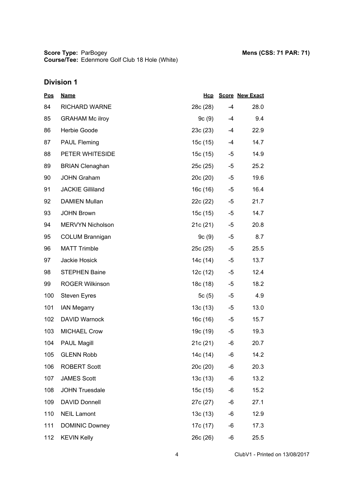**Score Type: Course/Tee:** ParBogey **Mens (CSS: 71 PAR: 71)** Edenmore Golf Club 18 Hole (White)

| <u>Pos</u> | <b>Name</b>             | Hcp      |      | <b>Score New Exact</b> |
|------------|-------------------------|----------|------|------------------------|
| 84         | <b>RICHARD WARNE</b>    | 28c (28) | $-4$ | 28.0                   |
| 85         | <b>GRAHAM Mc ilroy</b>  | 9c (9)   | $-4$ | 9.4                    |
| 86         | Herbie Goode            | 23c (23) | -4   | 22.9                   |
| 87         | <b>PAUL Fleming</b>     | 15c (15) | -4   | 14.7                   |
| 88         | PETER WHITESIDE         | 15c (15) | -5   | 14.9                   |
| 89         | <b>BRIAN Clenaghan</b>  | 25c (25) | -5   | 25.2                   |
| 90         | <b>JOHN Graham</b>      | 20c (20) | -5   | 19.6                   |
| 91         | <b>JACKIE Gilliland</b> | 16c (16) | -5   | 16.4                   |
| 92         | <b>DAMIEN Mullan</b>    | 22c (22) | $-5$ | 21.7                   |
| 93         | <b>JOHN Brown</b>       | 15c (15) | -5   | 14.7                   |
| 94         | <b>MERVYN Nicholson</b> | 21c (21) | -5   | 20.8                   |
| 95         | <b>COLUM Brannigan</b>  | 9c (9)   | $-5$ | 8.7                    |
| 96         | <b>MATT Trimble</b>     | 25c (25) | -5   | 25.5                   |
| 97         | Jackie Hosick           | 14c (14) | $-5$ | 13.7                   |
| 98         | <b>STEPHEN Baine</b>    | 12c (12) | $-5$ | 12.4                   |
| 99         | <b>ROGER Wilkinson</b>  | 18c (18) | -5   | 18.2                   |
| 100        | Steven Eyres            | 5c (5)   | $-5$ | 4.9                    |
| 101        | <b>IAN Megarry</b>      | 13c (13) | -5   | 13.0                   |
| 102        | <b>DAVID Warnock</b>    | 16c (16) | -5   | 15.7                   |
| 103        | <b>MICHAEL Crow</b>     | 19c (19) | -5   | 19.3                   |
| 104        | <b>PAUL Magill</b>      | 21c(21)  | -6   | 20.7                   |
| 105        | <b>GLENN Robb</b>       | 14c (14) | -6   | 14.2                   |
| 106        | <b>ROBERT Scott</b>     | 20c (20) | -6   | 20.3                   |
| 107        | <b>JAMES Scott</b>      | 13c(13)  | -6   | 13.2                   |
| 108        | <b>JOHN Truesdale</b>   | 15c(15)  | -6   | 15.2                   |
| 109        | <b>DAVID Donnell</b>    | 27c (27) | -6   | 27.1                   |
| 110        | <b>NEIL Lamont</b>      | 13c(13)  | -6   | 12.9                   |
| 111        | <b>DOMINIC Downey</b>   | 17c (17) | -6   | 17.3                   |
| 112        | <b>KEVIN Kelly</b>      | 26c (26) | -6   | 25.5                   |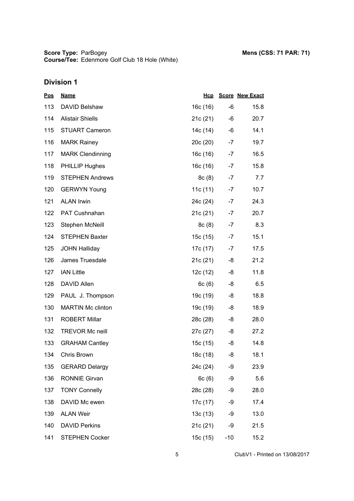| <b>Pos</b> | <b>Name</b>              | Hcp      |       | <b>Score New Exact</b> |
|------------|--------------------------|----------|-------|------------------------|
| 113        | DAVID Belshaw            | 16c (16) | -6    | 15.8                   |
| 114        | <b>Alistair Shiells</b>  | 21c(21)  | -6    | 20.7                   |
| 115        | <b>STUART Cameron</b>    | 14c (14) | -6    | 14.1                   |
| 116        | <b>MARK Rainey</b>       | 20c(20)  | $-7$  | 19.7                   |
| 117        | <b>MARK Clendinning</b>  | 16c (16) | $-7$  | 16.5                   |
| 118        | <b>PHILLIP Hughes</b>    | 16c (16) | $-7$  | 15.8                   |
| 119        | <b>STEPHEN Andrews</b>   | 8c(8)    | $-7$  | 7.7                    |
| 120        | <b>GERWYN Young</b>      | 11c (11) | $-7$  | 10.7                   |
| 121        | <b>ALAN Irwin</b>        | 24c (24) | $-7$  | 24.3                   |
| 122        | PAT Cushnahan            | 21c(21)  | $-7$  | 20.7                   |
| 123        | Stephen McNeill          | 8c(8)    | $-7$  | 8.3                    |
| 124        | <b>STEPHEN Baxter</b>    | 15c (15) | $-7$  | 15.1                   |
| 125        | <b>JOHN Halliday</b>     | 17c (17) | $-7$  | 17.5                   |
| 126        | James Truesdale          | 21c(21)  | -8    | 21.2                   |
| 127        | <b>IAN Little</b>        | 12c (12) | -8    | 11.8                   |
| 128        | DAVID Allen              | 6c(6)    | -8    | 6.5                    |
| 129        | PAUL J. Thompson         | 19c (19) | -8    | 18.8                   |
| 130        | <b>MARTIN Mc clinton</b> | 19c (19) | -8    | 18.9                   |
| 131        | <b>ROBERT Millar</b>     | 28c (28) | -8    | 28.0                   |
| 132        | <b>TREVOR Mc neill</b>   | 27c (27) | -8    | 27.2                   |
| 133        | <b>GRAHAM Cantley</b>    | 15c (15) | -8    | 14.8                   |
| 134        | Chris Brown              | 18c (18) | -8    | 18.1                   |
| 135        | <b>GERARD Delargy</b>    | 24c (24) | -9    | 23.9                   |
| 136        | <b>RONNIE Girvan</b>     | 6c(6)    | -9    | 5.6                    |
| 137        | <b>TONY Connelly</b>     | 28c (28) | -9    | 28.0                   |
| 138        | DAVID Mc ewen            | 17c (17) | -9    | 17.4                   |
| 139        | <b>ALAN Weir</b>         | 13c(13)  | -9    | 13.0                   |
| 140        | <b>DAVID Perkins</b>     | 21c (21) | -9    | 21.5                   |
| 141        | <b>STEPHEN Cocker</b>    | 15c (15) | $-10$ | 15.2                   |